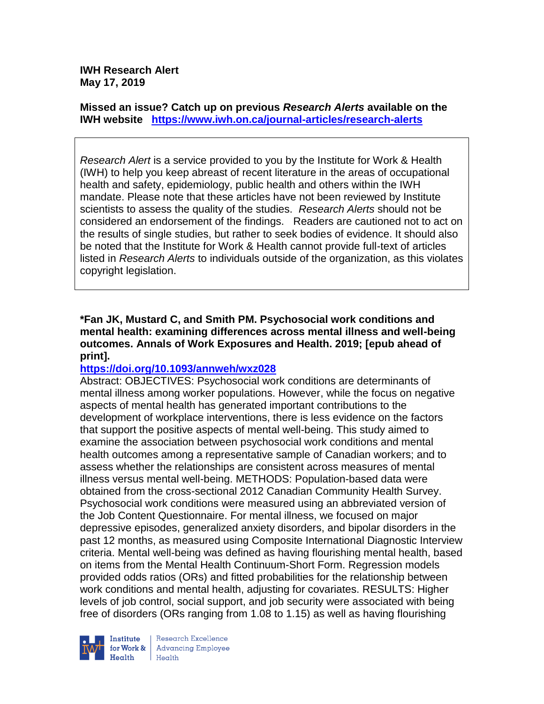**IWH Research Alert May 17, 2019**

**Missed an issue? Catch up on previous** *Research Alerts* **available on the [IWH website](http://www.iwh.on.ca/research-alerts) <https://www.iwh.on.ca/journal-articles/research-alerts>**

*Research Alert* is a service provided to you by the Institute for Work & Health (IWH) to help you keep abreast of recent literature in the areas of occupational health and safety, epidemiology, public health and others within the IWH mandate. Please note that these articles have not been reviewed by Institute scientists to assess the quality of the studies. *Research Alerts* should not be considered an endorsement of the findings. Readers are cautioned not to act on the results of single studies, but rather to seek bodies of evidence. It should also be noted that the Institute for Work & Health cannot provide full-text of articles listed in *Research Alerts* to individuals outside of the organization, as this violates copyright legislation.

## **\*Fan JK, Mustard C, and Smith PM. Psychosocial work conditions and mental health: examining differences across mental illness and well-being outcomes. Annals of Work Exposures and Health. 2019; [epub ahead of print].**

## **<https://doi.org/10.1093/annweh/wxz028>**

Abstract: OBJECTIVES: Psychosocial work conditions are determinants of mental illness among worker populations. However, while the focus on negative aspects of mental health has generated important contributions to the development of workplace interventions, there is less evidence on the factors that support the positive aspects of mental well-being. This study aimed to examine the association between psychosocial work conditions and mental health outcomes among a representative sample of Canadian workers; and to assess whether the relationships are consistent across measures of mental illness versus mental well-being. METHODS: Population-based data were obtained from the cross-sectional 2012 Canadian Community Health Survey. Psychosocial work conditions were measured using an abbreviated version of the Job Content Questionnaire. For mental illness, we focused on major depressive episodes, generalized anxiety disorders, and bipolar disorders in the past 12 months, as measured using Composite International Diagnostic Interview criteria. Mental well-being was defined as having flourishing mental health, based on items from the Mental Health Continuum-Short Form. Regression models provided odds ratios (ORs) and fitted probabilities for the relationship between work conditions and mental health, adjusting for covariates. RESULTS: Higher levels of job control, social support, and job security were associated with being free of disorders (ORs ranging from 1.08 to 1.15) as well as having flourishing

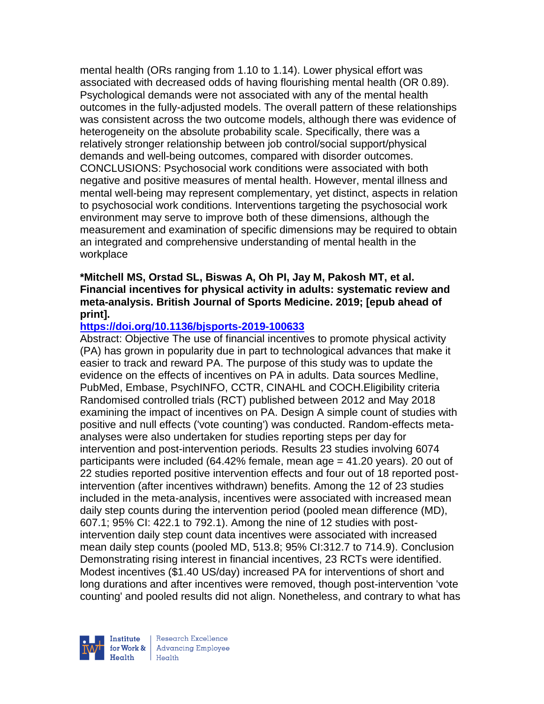mental health (ORs ranging from 1.10 to 1.14). Lower physical effort was associated with decreased odds of having flourishing mental health (OR 0.89). Psychological demands were not associated with any of the mental health outcomes in the fully-adjusted models. The overall pattern of these relationships was consistent across the two outcome models, although there was evidence of heterogeneity on the absolute probability scale. Specifically, there was a relatively stronger relationship between job control/social support/physical demands and well-being outcomes, compared with disorder outcomes. CONCLUSIONS: Psychosocial work conditions were associated with both negative and positive measures of mental health. However, mental illness and mental well-being may represent complementary, yet distinct, aspects in relation to psychosocial work conditions. Interventions targeting the psychosocial work environment may serve to improve both of these dimensions, although the measurement and examination of specific dimensions may be required to obtain an integrated and comprehensive understanding of mental health in the workplace

## **\*Mitchell MS, Orstad SL, Biswas A, Oh PI, Jay M, Pakosh MT, et al. Financial incentives for physical activity in adults: systematic review and meta-analysis. British Journal of Sports Medicine. 2019; [epub ahead of print].**

# **<https://doi.org/10.1136/bjsports-2019-100633>**

Abstract: Objective The use of financial incentives to promote physical activity (PA) has grown in popularity due in part to technological advances that make it easier to track and reward PA. The purpose of this study was to update the evidence on the effects of incentives on PA in adults. Data sources Medline, PubMed, Embase, PsychINFO, CCTR, CINAHL and COCH.Eligibility criteria Randomised controlled trials (RCT) published between 2012 and May 2018 examining the impact of incentives on PA. Design A simple count of studies with positive and null effects ('vote counting') was conducted. Random-effects metaanalyses were also undertaken for studies reporting steps per day for intervention and post-intervention periods. Results 23 studies involving 6074 participants were included (64.42% female, mean age = 41.20 years). 20 out of 22 studies reported positive intervention effects and four out of 18 reported postintervention (after incentives withdrawn) benefits. Among the 12 of 23 studies included in the meta-analysis, incentives were associated with increased mean daily step counts during the intervention period (pooled mean difference (MD), 607.1; 95% CI: 422.1 to 792.1). Among the nine of 12 studies with postintervention daily step count data incentives were associated with increased mean daily step counts (pooled MD, 513.8; 95% CI:312.7 to 714.9). Conclusion Demonstrating rising interest in financial incentives, 23 RCTs were identified. Modest incentives (\$1.40 US/day) increased PA for interventions of short and long durations and after incentives were removed, though post-intervention 'vote counting' and pooled results did not align. Nonetheless, and contrary to what has

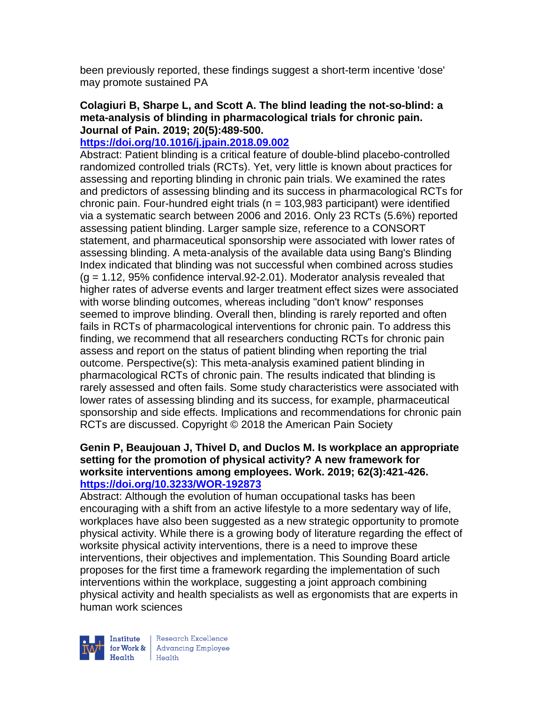been previously reported, these findings suggest a short-term incentive 'dose' may promote sustained PA

## **Colagiuri B, Sharpe L, and Scott A. The blind leading the not-so-blind: a meta-analysis of blinding in pharmacological trials for chronic pain. Journal of Pain. 2019; 20(5):489-500.**

### **<https://doi.org/10.1016/j.jpain.2018.09.002>**

Abstract: Patient blinding is a critical feature of double-blind placebo-controlled randomized controlled trials (RCTs). Yet, very little is known about practices for assessing and reporting blinding in chronic pain trials. We examined the rates and predictors of assessing blinding and its success in pharmacological RCTs for chronic pain. Four-hundred eight trials ( $n = 103,983$  participant) were identified via a systematic search between 2006 and 2016. Only 23 RCTs (5.6%) reported assessing patient blinding. Larger sample size, reference to a CONSORT statement, and pharmaceutical sponsorship were associated with lower rates of assessing blinding. A meta-analysis of the available data using Bang's Blinding Index indicated that blinding was not successful when combined across studies  $(g = 1.12, 95\%$  confidence interval. 92-2.01). Moderator analysis revealed that higher rates of adverse events and larger treatment effect sizes were associated with worse blinding outcomes, whereas including "don't know" responses seemed to improve blinding. Overall then, blinding is rarely reported and often fails in RCTs of pharmacological interventions for chronic pain. To address this finding, we recommend that all researchers conducting RCTs for chronic pain assess and report on the status of patient blinding when reporting the trial outcome. Perspective(s): This meta-analysis examined patient blinding in pharmacological RCTs of chronic pain. The results indicated that blinding is rarely assessed and often fails. Some study characteristics were associated with lower rates of assessing blinding and its success, for example, pharmaceutical sponsorship and side effects. Implications and recommendations for chronic pain RCTs are discussed. Copyright © 2018 the American Pain Society

## **Genin P, Beaujouan J, Thivel D, and Duclos M. Is workplace an appropriate setting for the promotion of physical activity? A new framework for worksite interventions among employees. Work. 2019; 62(3):421-426. <https://doi.org/10.3233/WOR-192873>**

Abstract: Although the evolution of human occupational tasks has been encouraging with a shift from an active lifestyle to a more sedentary way of life, workplaces have also been suggested as a new strategic opportunity to promote physical activity. While there is a growing body of literature regarding the effect of worksite physical activity interventions, there is a need to improve these interventions, their objectives and implementation. This Sounding Board article proposes for the first time a framework regarding the implementation of such interventions within the workplace, suggesting a joint approach combining physical activity and health specialists as well as ergonomists that are experts in human work sciences



Research Excellence for Work & Advancing Employee<br>Health Health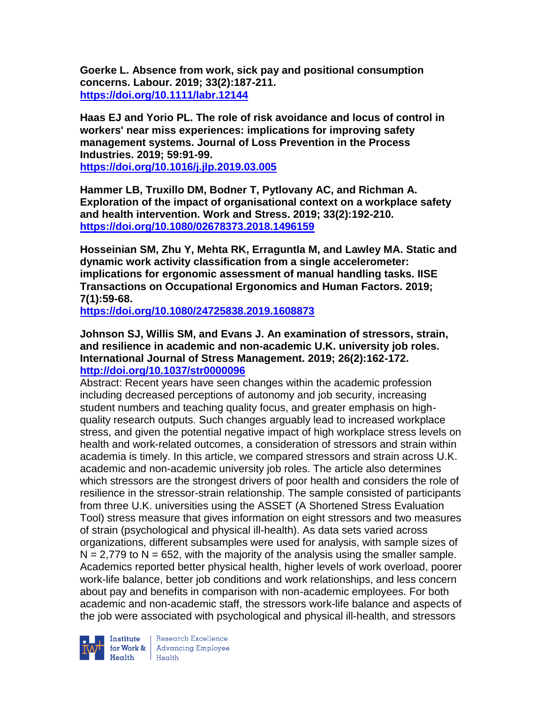**Goerke L. Absence from work, sick pay and positional consumption concerns. Labour. 2019; 33(2):187-211. <https://doi.org/10.1111/labr.12144>** 

**Haas EJ and Yorio PL. The role of risk avoidance and locus of control in workers' near miss experiences: implications for improving safety management systems. Journal of Loss Prevention in the Process Industries. 2019; 59:91-99.** 

**<https://doi.org/10.1016/j.jlp.2019.03.005>** 

**Hammer LB, Truxillo DM, Bodner T, Pytlovany AC, and Richman A. Exploration of the impact of organisational context on a workplace safety and health intervention. Work and Stress. 2019; 33(2):192-210. <https://doi.org/10.1080/02678373.2018.1496159>** 

**Hosseinian SM, Zhu Y, Mehta RK, Erraguntla M, and Lawley MA. Static and dynamic work activity classification from a single accelerometer: implications for ergonomic assessment of manual handling tasks. IISE Transactions on Occupational Ergonomics and Human Factors. 2019; 7(1):59-68.** 

**<https://doi.org/10.1080/24725838.2019.1608873>** 

**Johnson SJ, Willis SM, and Evans J. An examination of stressors, strain, and resilience in academic and non-academic U.K. university job roles. International Journal of Stress Management. 2019; 26(2):162-172. <http://doi.org/10.1037/str0000096>**

Abstract: Recent years have seen changes within the academic profession including decreased perceptions of autonomy and job security, increasing student numbers and teaching quality focus, and greater emphasis on highquality research outputs. Such changes arguably lead to increased workplace stress, and given the potential negative impact of high workplace stress levels on health and work-related outcomes, a consideration of stressors and strain within academia is timely. In this article, we compared stressors and strain across U.K. academic and non-academic university job roles. The article also determines which stressors are the strongest drivers of poor health and considers the role of resilience in the stressor-strain relationship. The sample consisted of participants from three U.K. universities using the ASSET (A Shortened Stress Evaluation Tool) stress measure that gives information on eight stressors and two measures of strain (psychological and physical ill-health). As data sets varied across organizations, different subsamples were used for analysis, with sample sizes of  $N = 2,779$  to  $N = 652$ , with the majority of the analysis using the smaller sample. Academics reported better physical health, higher levels of work overload, poorer work-life balance, better job conditions and work relationships, and less concern about pay and benefits in comparison with non-academic employees. For both academic and non-academic staff, the stressors work-life balance and aspects of the job were associated with psychological and physical ill-health, and stressors



Institute Research Excellence<br>
for Work & Advancing Employee<br>
Health Health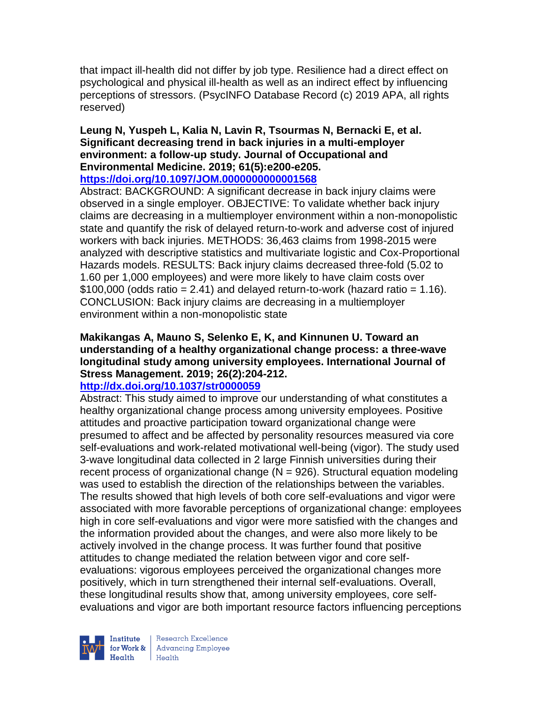that impact ill-health did not differ by job type. Resilience had a direct effect on psychological and physical ill-health as well as an indirect effect by influencing perceptions of stressors. (PsycINFO Database Record (c) 2019 APA, all rights reserved)

#### **Leung N, Yuspeh L, Kalia N, Lavin R, Tsourmas N, Bernacki E, et al. Significant decreasing trend in back injuries in a multi-employer environment: a follow-up study. Journal of Occupational and Environmental Medicine. 2019; 61(5):e200-e205. <https://doi.org/10.1097/JOM.0000000000001568>**

Abstract: BACKGROUND: A significant decrease in back injury claims were observed in a single employer. OBJECTIVE: To validate whether back injury claims are decreasing in a multiemployer environment within a non-monopolistic state and quantify the risk of delayed return-to-work and adverse cost of injured workers with back injuries. METHODS: 36,463 claims from 1998-2015 were analyzed with descriptive statistics and multivariate logistic and Cox-Proportional Hazards models. RESULTS: Back injury claims decreased three-fold (5.02 to 1.60 per 1,000 employees) and were more likely to have claim costs over  $$100,000$  (odds ratio = 2.41) and delayed return-to-work (hazard ratio = 1.16). CONCLUSION: Back injury claims are decreasing in a multiemployer environment within a non-monopolistic state

## **Makikangas A, Mauno S, Selenko E, K, and Kinnunen U. Toward an understanding of a healthy organizational change process: a three-wave longitudinal study among university employees. International Journal of Stress Management. 2019; 26(2):204-212.**

## **<http://dx.doi.org/10.1037/str0000059>**

Abstract: This study aimed to improve our understanding of what constitutes a healthy organizational change process among university employees. Positive attitudes and proactive participation toward organizational change were presumed to affect and be affected by personality resources measured via core self-evaluations and work-related motivational well-being (vigor). The study used 3-wave longitudinal data collected in 2 large Finnish universities during their recent process of organizational change ( $N = 926$ ). Structural equation modeling was used to establish the direction of the relationships between the variables. The results showed that high levels of both core self-evaluations and vigor were associated with more favorable perceptions of organizational change: employees high in core self-evaluations and vigor were more satisfied with the changes and the information provided about the changes, and were also more likely to be actively involved in the change process. It was further found that positive attitudes to change mediated the relation between vigor and core selfevaluations: vigorous employees perceived the organizational changes more positively, which in turn strengthened their internal self-evaluations. Overall, these longitudinal results show that, among university employees, core selfevaluations and vigor are both important resource factors influencing perceptions



Research Excellence for Work & Advancing Employee  $H_{\text{eath}}$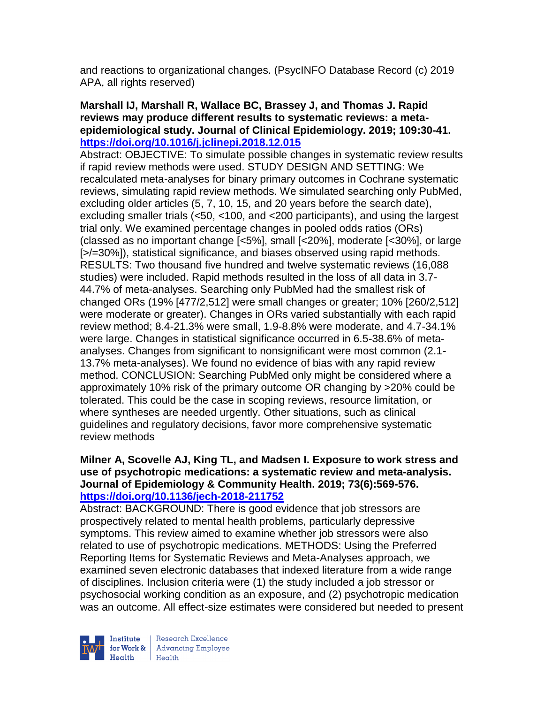and reactions to organizational changes. (PsycINFO Database Record (c) 2019 APA, all rights reserved)

## **Marshall IJ, Marshall R, Wallace BC, Brassey J, and Thomas J. Rapid reviews may produce different results to systematic reviews: a metaepidemiological study. Journal of Clinical Epidemiology. 2019; 109:30-41. <https://doi.org/10.1016/j.jclinepi.2018.12.015>**

Abstract: OBJECTIVE: To simulate possible changes in systematic review results if rapid review methods were used. STUDY DESIGN AND SETTING: We recalculated meta-analyses for binary primary outcomes in Cochrane systematic reviews, simulating rapid review methods. We simulated searching only PubMed, excluding older articles (5, 7, 10, 15, and 20 years before the search date), excluding smaller trials (<50, <100, and <200 participants), and using the largest trial only. We examined percentage changes in pooled odds ratios (ORs) (classed as no important change [<5%], small [<20%], moderate [<30%], or large [>/=30%]), statistical significance, and biases observed using rapid methods. RESULTS: Two thousand five hundred and twelve systematic reviews (16,088 studies) were included. Rapid methods resulted in the loss of all data in 3.7- 44.7% of meta-analyses. Searching only PubMed had the smallest risk of changed ORs (19% [477/2,512] were small changes or greater; 10% [260/2,512] were moderate or greater). Changes in ORs varied substantially with each rapid review method; 8.4-21.3% were small, 1.9-8.8% were moderate, and 4.7-34.1% were large. Changes in statistical significance occurred in 6.5-38.6% of metaanalyses. Changes from significant to nonsignificant were most common (2.1- 13.7% meta-analyses). We found no evidence of bias with any rapid review method. CONCLUSION: Searching PubMed only might be considered where a approximately 10% risk of the primary outcome OR changing by >20% could be tolerated. This could be the case in scoping reviews, resource limitation, or where syntheses are needed urgently. Other situations, such as clinical guidelines and regulatory decisions, favor more comprehensive systematic review methods

## **Milner A, Scovelle AJ, King TL, and Madsen I. Exposure to work stress and use of psychotropic medications: a systematic review and meta-analysis. Journal of Epidemiology & Community Health. 2019; 73(6):569-576. <https://doi.org/10.1136/jech-2018-211752>**

Abstract: BACKGROUND: There is good evidence that job stressors are prospectively related to mental health problems, particularly depressive symptoms. This review aimed to examine whether job stressors were also related to use of psychotropic medications. METHODS: Using the Preferred Reporting Items for Systematic Reviews and Meta-Analyses approach, we examined seven electronic databases that indexed literature from a wide range of disciplines. Inclusion criteria were (1) the study included a job stressor or psychosocial working condition as an exposure, and (2) psychotropic medication was an outcome. All effect-size estimates were considered but needed to present

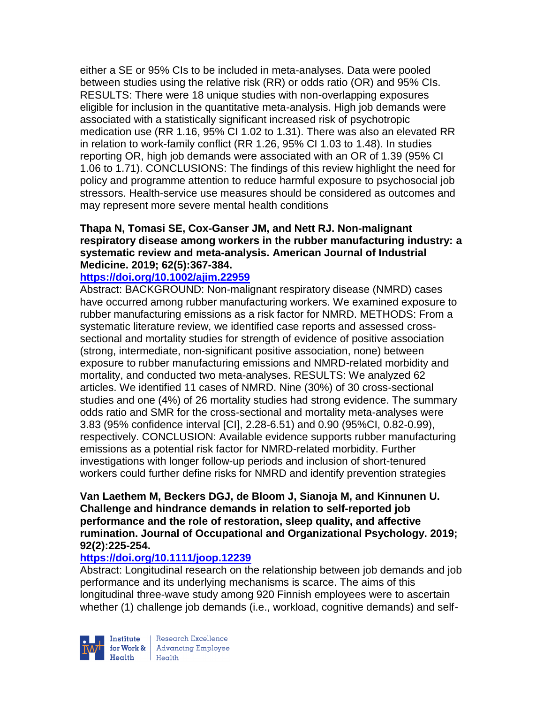either a SE or 95% CIs to be included in meta-analyses. Data were pooled between studies using the relative risk (RR) or odds ratio (OR) and 95% CIs. RESULTS: There were 18 unique studies with non-overlapping exposures eligible for inclusion in the quantitative meta-analysis. High job demands were associated with a statistically significant increased risk of psychotropic medication use (RR 1.16, 95% CI 1.02 to 1.31). There was also an elevated RR in relation to work-family conflict (RR 1.26, 95% CI 1.03 to 1.48). In studies reporting OR, high job demands were associated with an OR of 1.39 (95% CI 1.06 to 1.71). CONCLUSIONS: The findings of this review highlight the need for policy and programme attention to reduce harmful exposure to psychosocial job stressors. Health-service use measures should be considered as outcomes and may represent more severe mental health conditions

## **Thapa N, Tomasi SE, Cox-Ganser JM, and Nett RJ. Non-malignant respiratory disease among workers in the rubber manufacturing industry: a systematic review and meta-analysis. American Journal of Industrial Medicine. 2019; 62(5):367-384.**

#### **<https://doi.org/10.1002/ajim.22959>**

Abstract: BACKGROUND: Non-malignant respiratory disease (NMRD) cases have occurred among rubber manufacturing workers. We examined exposure to rubber manufacturing emissions as a risk factor for NMRD. METHODS: From a systematic literature review, we identified case reports and assessed crosssectional and mortality studies for strength of evidence of positive association (strong, intermediate, non-significant positive association, none) between exposure to rubber manufacturing emissions and NMRD-related morbidity and mortality, and conducted two meta-analyses. RESULTS: We analyzed 62 articles. We identified 11 cases of NMRD. Nine (30%) of 30 cross-sectional studies and one (4%) of 26 mortality studies had strong evidence. The summary odds ratio and SMR for the cross-sectional and mortality meta-analyses were 3.83 (95% confidence interval [CI], 2.28-6.51) and 0.90 (95%CI, 0.82-0.99), respectively. CONCLUSION: Available evidence supports rubber manufacturing emissions as a potential risk factor for NMRD-related morbidity. Further investigations with longer follow-up periods and inclusion of short-tenured workers could further define risks for NMRD and identify prevention strategies

### **Van Laethem M, Beckers DGJ, de Bloom J, Sianoja M, and Kinnunen U. Challenge and hindrance demands in relation to self-reported job performance and the role of restoration, sleep quality, and affective rumination. Journal of Occupational and Organizational Psychology. 2019; 92(2):225-254.**

## **<https://doi.org/10.1111/joop.12239>**

Abstract: Longitudinal research on the relationship between job demands and job performance and its underlying mechanisms is scarce. The aims of this longitudinal three-wave study among 920 Finnish employees were to ascertain whether (1) challenge job demands (i.e., workload, cognitive demands) and self-